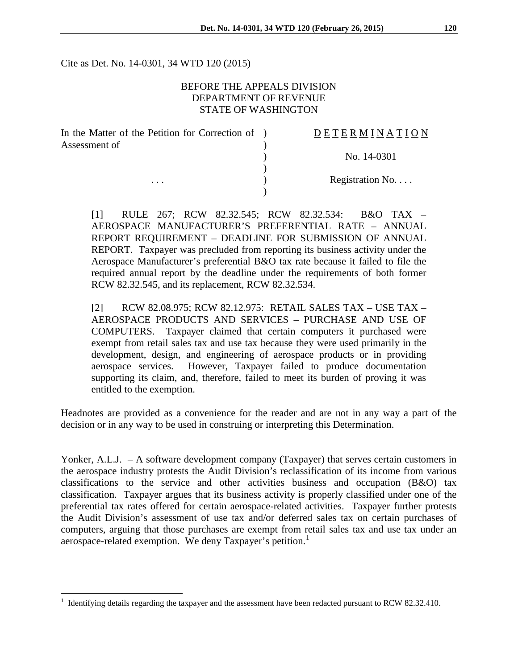Cite as Det. No. 14-0301, 34 WTD 120 (2015)

## BEFORE THE APPEALS DIVISION DEPARTMENT OF REVENUE STATE OF WASHINGTON

| In the Matter of the Petition for Correction of ) | <b>DETERMINATION</b> |
|---------------------------------------------------|----------------------|
| Assessment of                                     |                      |
|                                                   | No. 14-0301          |
|                                                   |                      |
| $\cdots$                                          | Registration No      |
|                                                   |                      |

[1] RULE 267; RCW 82.32.545; RCW 82.32.534: B&O TAX – AEROSPACE MANUFACTURER'S PREFERENTIAL RATE – ANNUAL REPORT REQUIREMENT – DEADLINE FOR SUBMISSION OF ANNUAL REPORT. Taxpayer was precluded from reporting its business activity under the Aerospace Manufacturer's preferential B&O tax rate because it failed to file the required annual report by the deadline under the requirements of both former RCW 82.32.545, and its replacement, RCW 82.32.534.

[2] RCW 82.08.975; RCW 82.12.975: RETAIL SALES TAX – USE TAX – AEROSPACE PRODUCTS AND SERVICES – PURCHASE AND USE OF COMPUTERS. Taxpayer claimed that certain computers it purchased were exempt from retail sales tax and use tax because they were used primarily in the development, design, and engineering of aerospace products or in providing aerospace services. However, Taxpayer failed to produce documentation supporting its claim, and, therefore, failed to meet its burden of proving it was entitled to the exemption.

Headnotes are provided as a convenience for the reader and are not in any way a part of the decision or in any way to be used in construing or interpreting this Determination.

Yonker, A.L.J. – A software development company (Taxpayer) that serves certain customers in the aerospace industry protests the Audit Division's reclassification of its income from various classifications to the service and other activities business and occupation (B&O) tax classification. Taxpayer argues that its business activity is properly classified under one of the preferential tax rates offered for certain aerospace-related activities. Taxpayer further protests the Audit Division's assessment of use tax and/or deferred sales tax on certain purchases of computers, arguing that those purchases are exempt from retail sales tax and use tax under an aerospace-related exemption. We deny Taxpayer's petition.<sup>[1](#page-0-0)</sup>

 $\overline{a}$ 

<span id="page-0-0"></span><sup>1</sup> Identifying details regarding the taxpayer and the assessment have been redacted pursuant to RCW 82.32.410.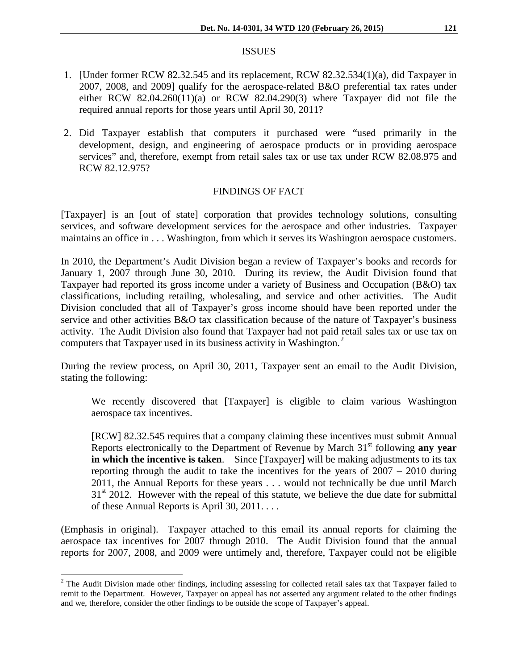#### ISSUES

- 1. [Under former RCW 82.32.545 and its replacement, RCW 82.32.534(1)(a), did Taxpayer in 2007, 2008, and 2009] qualify for the aerospace-related B&O preferential tax rates under either RCW 82.04.260(11)(a) or RCW 82.04.290(3) where Taxpayer did not file the required annual reports for those years until April 30, 2011?
- 2. Did Taxpayer establish that computers it purchased were "used primarily in the development, design, and engineering of aerospace products or in providing aerospace services" and, therefore, exempt from retail sales tax or use tax under RCW 82.08.975 and RCW 82.12.975?

## FINDINGS OF FACT

[Taxpayer] is an [out of state] corporation that provides technology solutions, consulting services, and software development services for the aerospace and other industries. Taxpayer maintains an office in . . . Washington, from which it serves its Washington aerospace customers.

In 2010, the Department's Audit Division began a review of Taxpayer's books and records for January 1, 2007 through June 30, 2010. During its review, the Audit Division found that Taxpayer had reported its gross income under a variety of Business and Occupation (B&O) tax classifications, including retailing, wholesaling, and service and other activities. The Audit Division concluded that all of Taxpayer's gross income should have been reported under the service and other activities B&O tax classification because of the nature of Taxpayer's business activity. The Audit Division also found that Taxpayer had not paid retail sales tax or use tax on computers that Taxpayer used in its business activity in Washington.<sup>[2](#page-1-0)</sup>

During the review process, on April 30, 2011, Taxpayer sent an email to the Audit Division, stating the following:

We recently discovered that [Taxpayer] is eligible to claim various Washington aerospace tax incentives.

[RCW] 82.32.545 requires that a company claiming these incentives must submit Annual Reports electronically to the Department of Revenue by March 31st following **any year in which the incentive is taken**. Since [Taxpayer] will be making adjustments to its tax reporting through the audit to take the incentives for the years of 2007 – 2010 during 2011, the Annual Reports for these years . . . would not technically be due until March  $31<sup>st</sup>$  2012. However with the repeal of this statute, we believe the due date for submittal of these Annual Reports is April 30, 2011. . . .

(Emphasis in original). Taxpayer attached to this email its annual reports for claiming the aerospace tax incentives for 2007 through 2010. The Audit Division found that the annual reports for 2007, 2008, and 2009 were untimely and, therefore, Taxpayer could not be eligible

<span id="page-1-0"></span> $2$  The Audit Division made other findings, including assessing for collected retail sales tax that Taxpayer failed to remit to the Department. However, Taxpayer on appeal has not asserted any argument related to the other findings and we, therefore, consider the other findings to be outside the scope of Taxpayer's appeal.  $\overline{a}$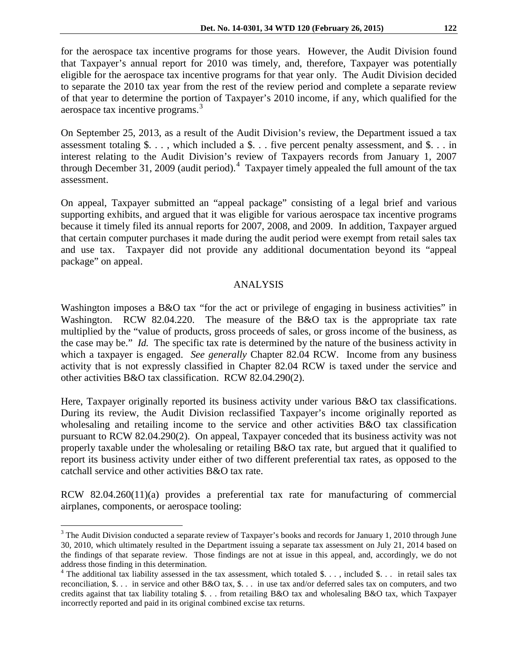for the aerospace tax incentive programs for those years. However, the Audit Division found that Taxpayer's annual report for 2010 was timely, and, therefore, Taxpayer was potentially eligible for the aerospace tax incentive programs for that year only. The Audit Division decided to separate the 2010 tax year from the rest of the review period and complete a separate review of that year to determine the portion of Taxpayer's 2010 income, if any, which qualified for the aerospace tax incentive programs.<sup>[3](#page-2-0)</sup>

On September 25, 2013, as a result of the Audit Division's review, the Department issued a tax assessment totaling  $\delta$ ..., which included a  $\delta$ ... five percent penalty assessment, and  $\delta$ ... in interest relating to the Audit Division's review of Taxpayers records from January 1, 2007 through December 31, 2009 (audit period). $4$  Taxpayer timely appealed the full amount of the tax assessment.

On appeal, Taxpayer submitted an "appeal package" consisting of a legal brief and various supporting exhibits, and argued that it was eligible for various aerospace tax incentive programs because it timely filed its annual reports for 2007, 2008, and 2009. In addition, Taxpayer argued that certain computer purchases it made during the audit period were exempt from retail sales tax and use tax. Taxpayer did not provide any additional documentation beyond its "appeal package" on appeal.

#### ANALYSIS

Washington imposes a B&O tax "for the act or privilege of engaging in business activities" in Washington. RCW 82.04.220. The measure of the B&O tax is the appropriate tax rate multiplied by the "value of products, gross proceeds of sales, or gross income of the business, as the case may be." *Id.* The specific tax rate is determined by the nature of the business activity in which a taxpayer is engaged. *See generally* Chapter 82.04 RCW. Income from any business activity that is not expressly classified in Chapter 82.04 RCW is taxed under the service and other activities B&O tax classification. RCW 82.04.290(2).

Here, Taxpayer originally reported its business activity under various B&O tax classifications. During its review, the Audit Division reclassified Taxpayer's income originally reported as wholesaling and retailing income to the service and other activities B&O tax classification pursuant to RCW 82.04.290(2). On appeal, Taxpayer conceded that its business activity was not properly taxable under the wholesaling or retailing B&O tax rate, but argued that it qualified to report its business activity under either of two different preferential tax rates, as opposed to the catchall service and other activities B&O tax rate.

RCW 82.04.260(11)(a) provides a preferential tax rate for manufacturing of commercial airplanes, components, or aerospace tooling:

 $\overline{a}$ 

<span id="page-2-0"></span> $3$  The Audit Division conducted a separate review of Taxpayer's books and records for January 1, 2010 through June 30, 2010, which ultimately resulted in the Department issuing a separate tax assessment on July 21, 2014 based on the findings of that separate review. Those findings are not at issue in this appeal, and, accordingly, we do not address those finding in this determination.

<span id="page-2-1"></span><sup>&</sup>lt;sup>4</sup> The additional tax liability assessed in the tax assessment, which totaled \$..., included \$... in retail sales tax reconciliation, \$. . . in service and other B&O tax, \$. . . in use tax and/or deferred sales tax on computers, and two credits against that tax liability totaling \$. . . from retailing B&O tax and wholesaling B&O tax, which Taxpayer incorrectly reported and paid in its original combined excise tax returns.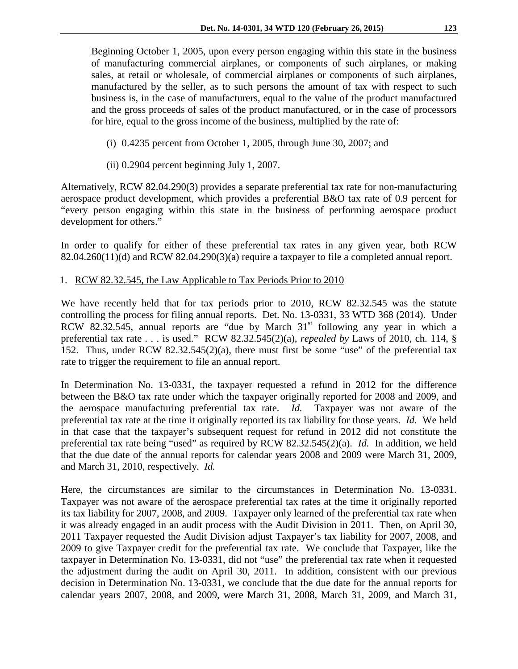Beginning October 1, 2005, upon every person engaging within this state in the business of manufacturing commercial airplanes, or components of such airplanes, or making sales, at retail or wholesale, of commercial airplanes or components of such airplanes, manufactured by the seller, as to such persons the amount of tax with respect to such business is, in the case of manufacturers, equal to the value of the product manufactured and the gross proceeds of sales of the product manufactured, or in the case of processors for hire, equal to the gross income of the business, multiplied by the rate of:

- (i) 0.4235 percent from October 1, 2005, through June 30, 2007; and
- (ii) 0.2904 percent beginning July 1, 2007.

Alternatively, RCW 82.04.290(3) provides a separate preferential tax rate for non-manufacturing aerospace product development, which provides a preferential B&O tax rate of 0.9 percent for "every person engaging within this state in the business of performing aerospace product development for others."

In order to qualify for either of these preferential tax rates in any given year, both RCW  $82.04.260(11)(d)$  and RCW  $82.04.290(3)(a)$  require a taxpayer to file a completed annual report.

1. RCW 82.32.545, the Law Applicable to Tax Periods Prior to 2010

We have recently held that for tax periods prior to 2010, RCW 82.32.545 was the statute controlling the process for filing annual reports. Det. No. 13-0331, 33 WTD 368 (2014). Under RCW 82.32.545, annual reports are "due by March  $31<sup>st</sup>$  following any year in which a preferential tax rate . . . is used." RCW 82.32.545(2)(a), *repealed by* Laws of 2010, ch. 114, § 152. Thus, under RCW 82.32.545(2)(a), there must first be some "use" of the preferential tax rate to trigger the requirement to file an annual report.

In Determination No. 13-0331, the taxpayer requested a refund in 2012 for the difference between the B&O tax rate under which the taxpayer originally reported for 2008 and 2009, and the aerospace manufacturing preferential tax rate. *Id.* Taxpayer was not aware of the preferential tax rate at the time it originally reported its tax liability for those years. *Id.* We held in that case that the taxpayer's subsequent request for refund in 2012 did not constitute the preferential tax rate being "used" as required by RCW 82.32.545(2)(a). *Id.* In addition, we held that the due date of the annual reports for calendar years 2008 and 2009 were March 31, 2009, and March 31, 2010, respectively. *Id.*

Here, the circumstances are similar to the circumstances in Determination No. 13-0331. Taxpayer was not aware of the aerospace preferential tax rates at the time it originally reported its tax liability for 2007, 2008, and 2009. Taxpayer only learned of the preferential tax rate when it was already engaged in an audit process with the Audit Division in 2011. Then, on April 30, 2011 Taxpayer requested the Audit Division adjust Taxpayer's tax liability for 2007, 2008, and 2009 to give Taxpayer credit for the preferential tax rate. We conclude that Taxpayer, like the taxpayer in Determination No. 13-0331, did not "use" the preferential tax rate when it requested the adjustment during the audit on April 30, 2011. In addition, consistent with our previous decision in Determination No. 13-0331, we conclude that the due date for the annual reports for calendar years 2007, 2008, and 2009, were March 31, 2008, March 31, 2009, and March 31,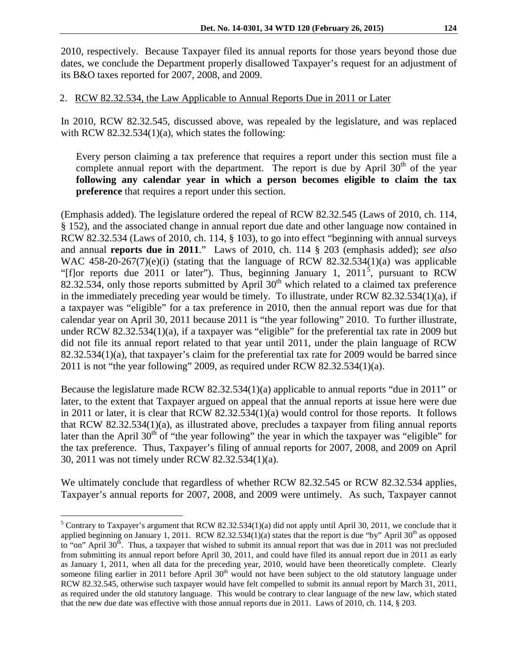2010, respectively. Because Taxpayer filed its annual reports for those years beyond those due dates, we conclude the Department properly disallowed Taxpayer's request for an adjustment of its B&O taxes reported for 2007, 2008, and 2009.

# 2. RCW 82.32.534, the Law Applicable to Annual Reports Due in 2011 or Later

In 2010, RCW 82.32.545, discussed above, was repealed by the legislature, and was replaced with RCW 82.32.534(1)(a), which states the following:

Every person claiming a tax preference that requires a report under this section must file a complete annual report with the department. The report is due by April  $30<sup>th</sup>$  of the year **following any calendar year in which a person becomes eligible to claim the tax preference** that requires a report under this section.

(Emphasis added). The legislature ordered the repeal of RCW 82.32.545 (Laws of 2010, ch. 114, § 152), and the associated change in annual report due date and other language now contained in RCW 82.32.534 (Laws of 2010, ch. 114, § 103), to go into effect "beginning with annual surveys and annual **reports due in 2011**." Laws of 2010, ch. 114 § 203 (emphasis added); *see also*  WAC 458-20-267(7)(e)(i) (stating that the language of RCW 82.32.534(1)(a) was applicable "[f]or reports due 2011 or later"). Thus, beginning January 1,  $2011^5$  $2011^5$ , pursuant to RCW 82.32.534, only those reports submitted by April  $30<sup>th</sup>$  which related to a claimed tax preference in the immediately preceding year would be timely. To illustrate, under RCW 82.32.534(1)(a), if a taxpayer was "eligible" for a tax preference in 2010, then the annual report was due for that calendar year on April 30, 2011 because 2011 is "the year following" 2010. To further illustrate, under RCW 82.32.534(1)(a), if a taxpayer was "eligible" for the preferential tax rate in 2009 but did not file its annual report related to that year until 2011, under the plain language of RCW  $82.32.534(1)(a)$ , that taxpayer's claim for the preferential tax rate for 2009 would be barred since 2011 is not "the year following" 2009, as required under RCW 82.32.534(1)(a).

Because the legislature made RCW 82.32.534(1)(a) applicable to annual reports "due in 2011" or later, to the extent that Taxpayer argued on appeal that the annual reports at issue here were due in 2011 or later, it is clear that RCW 82.32.534(1)(a) would control for those reports. It follows that RCW 82.32.534(1)(a), as illustrated above, precludes a taxpayer from filing annual reports later than the April  $30<sup>th</sup>$  of "the year following" the year in which the taxpayer was "eligible" for the tax preference. Thus, Taxpayer's filing of annual reports for 2007, 2008, and 2009 on April 30, 2011 was not timely under RCW 82.32.534(1)(a).

We ultimately conclude that regardless of whether RCW 82.32.545 or RCW 82.32.534 applies, Taxpayer's annual reports for 2007, 2008, and 2009 were untimely. As such, Taxpayer cannot

 $\overline{a}$ 

<span id="page-4-0"></span> $5$  Contrary to Taxpayer's argument that RCW 82.32.534(1)(a) did not apply until April 30, 2011, we conclude that it applied beginning on January 1, 2011. RCW 82.32.534(1)(a) states that the report is due "by" April  $30<sup>th</sup>$  as opposed to "on" April  $30<sup>th</sup>$ . Thus, a taxpayer that wished to submit its annual report that was due in 2011 was not precluded from submitting its annual report before April 30, 2011, and could have filed its annual report due in 2011 as early as January 1, 2011, when all data for the preceding year, 2010, would have been theoretically complete. Clearly someone filing earlier in 2011 before April 30<sup>th</sup> would not have been subject to the old statutory language under RCW 82.32.545, otherwise such taxpayer would have felt compelled to submit its annual report by March 31, 2011, as required under the old statutory language. This would be contrary to clear language of the new law, which stated that the new due date was effective with those annual reports due in 2011. Laws of 2010, ch. 114, § 203.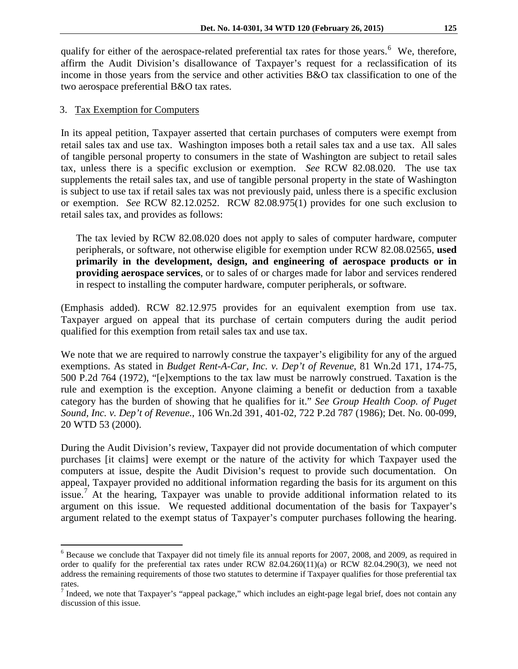qualify for either of the aerospace-related preferential tax rates for those years.<sup>[6](#page-5-0)</sup> We, therefore, affirm the Audit Division's disallowance of Taxpayer's request for a reclassification of its income in those years from the service and other activities B&O tax classification to one of the two aerospace preferential B&O tax rates.

## 3. Tax Exemption for Computers

 $\overline{a}$ 

In its appeal petition, Taxpayer asserted that certain purchases of computers were exempt from retail sales tax and use tax. Washington imposes both a retail sales tax and a use tax. All sales of tangible personal property to consumers in the state of Washington are subject to retail sales tax, unless there is a specific exclusion or exemption. *See* RCW 82.08.020. The use tax supplements the retail sales tax, and use of tangible personal property in the state of Washington is subject to use tax if retail sales tax was not previously paid, unless there is a specific exclusion or exemption. *See* RCW 82.12.0252. RCW 82.08.975(1) provides for one such exclusion to retail sales tax, and provides as follows:

The tax levied by RCW [82.08.020](http://apps.leg.wa.gov/rcw/default.aspx?cite=82.08.020) does not apply to sales of computer hardware, computer peripherals, or software, not otherwise eligible for exemption under RCW [82.08.02565,](http://apps.leg.wa.gov/rcw/default.aspx?cite=82.08.02565) **used primarily in the development, design, and engineering of aerospace products or in providing aerospace services**, or to sales of or charges made for labor and services rendered in respect to installing the computer hardware, computer peripherals, or software.

(Emphasis added). RCW 82.12.975 provides for an equivalent exemption from use tax. Taxpayer argued on appeal that its purchase of certain computers during the audit period qualified for this exemption from retail sales tax and use tax.

We note that we are required to narrowly construe the taxpayer's eligibility for any of the argued exemptions. As stated in *Budget Rent-A-Car, Inc. v. Dep't of Revenue*, 81 Wn.2d 171, 174-75, 500 P.2d 764 (1972), "[e]xemptions to the tax law must be narrowly construed. Taxation is the rule and exemption is the exception. Anyone claiming a benefit or deduction from a taxable category has the burden of showing that he qualifies for it." *See Group Health Coop. of Puget Sound, Inc. v. Dep't of Revenue.*, 106 Wn.2d 391, 401-02, 722 P.2d 787 (1986); Det. No. 00-099, 20 WTD 53 (2000).

During the Audit Division's review, Taxpayer did not provide documentation of which computer purchases [it claims] were exempt or the nature of the activity for which Taxpayer used the computers at issue, despite the Audit Division's request to provide such documentation. On appeal, Taxpayer provided no additional information regarding the basis for its argument on this issue.<sup>[7](#page-5-1)</sup> At the hearing, Taxpayer was unable to provide additional information related to its argument on this issue. We requested additional documentation of the basis for Taxpayer's argument related to the exempt status of Taxpayer's computer purchases following the hearing.

<span id="page-5-0"></span><sup>6</sup> Because we conclude that Taxpayer did not timely file its annual reports for 2007, 2008, and 2009, as required in order to qualify for the preferential tax rates under RCW 82.04.260(11)(a) or RCW 82.04.290(3), we need not address the remaining requirements of those two statutes to determine if Taxpayer qualifies for those preferential tax rates.

<span id="page-5-1"></span><sup>&</sup>lt;sup>7</sup> Indeed, we note that Taxpayer's "appeal package," which includes an eight-page legal brief, does not contain any discussion of this issue.